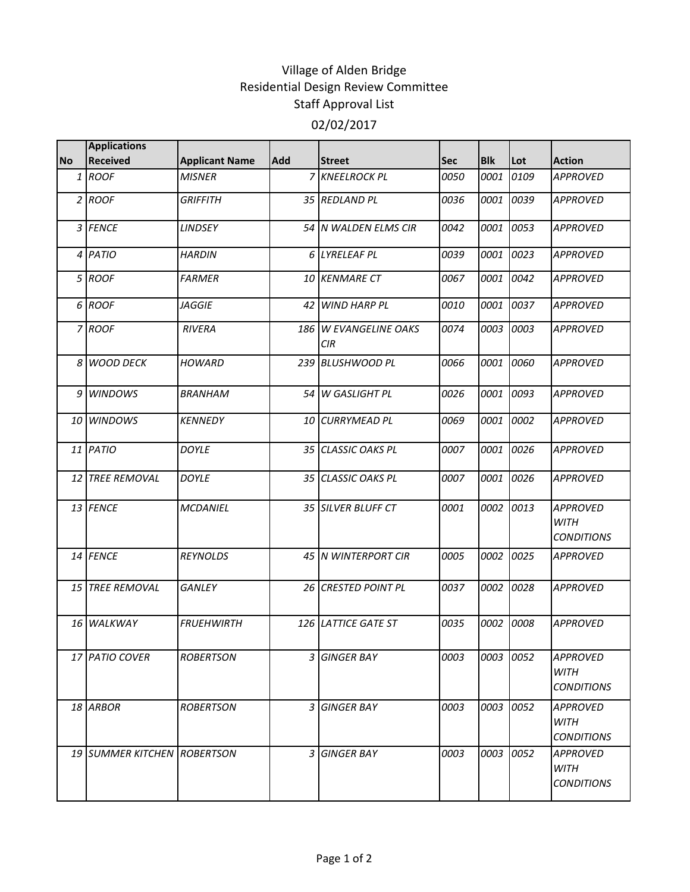## Village of Alden Bridge Residential Design Review Committee Staff Approval List 02/02/2017

|           | <b>Applications</b>         |                       |     |                                     |      |            |      |                                                     |
|-----------|-----------------------------|-----------------------|-----|-------------------------------------|------|------------|------|-----------------------------------------------------|
| <b>No</b> | <b>Received</b>             | <b>Applicant Name</b> | Add | <b>Street</b>                       | Sec  | <b>Blk</b> | Lot  | <b>Action</b>                                       |
|           | 1 ROOF                      | <b>MISNER</b>         |     | 7 KNEELROCK PL                      | 0050 | 0001       | 0109 | <b>APPROVED</b>                                     |
|           | $2$ ROOF                    | <b>GRIFFITH</b>       |     | 35 REDLAND PL                       | 0036 | 0001       | 0039 | <b>APPROVED</b>                                     |
|           | 3 FENCE                     | <b>LINDSEY</b>        |     | 54 IN WALDEN ELMS CIR               | 0042 | 0001       | 0053 | <b>APPROVED</b>                                     |
|           | 4 PATIO                     | <b>HARDIN</b>         |     | 6 LYRELEAF PL                       | 0039 | 0001       | 0023 | <b>APPROVED</b>                                     |
|           | 5 ROOF                      | <b>FARMER</b>         |     | <b>10 KENMARE CT</b>                | 0067 | 0001       | 0042 | <b>APPROVED</b>                                     |
|           | 6 ROOF                      | <b>JAGGIE</b>         |     | 42 WIND HARP PL                     | 0010 | 0001       | 0037 | <b>APPROVED</b>                                     |
|           | 7 ROOF                      | <b>RIVERA</b>         |     | 186 W EVANGELINE OAKS<br><b>CIR</b> | 0074 | 0003       | 0003 | <b>APPROVED</b>                                     |
|           | 8 WOOD DECK                 | <b>HOWARD</b>         |     | 239 BLUSHWOOD PL                    | 0066 | 0001       | 0060 | <b>APPROVED</b>                                     |
|           | 9 WINDOWS                   | <b>BRANHAM</b>        |     | 54 W GASLIGHT PL                    | 0026 | 0001       | 0093 | <b>APPROVED</b>                                     |
|           | 10 WINDOWS                  | <b>KENNEDY</b>        |     | <b>10 CURRYMEAD PL</b>              | 0069 | 0001       | 0002 | <b>APPROVED</b>                                     |
|           | 11 PATIO                    | <b>DOYLE</b>          |     | 35 CLASSIC OAKS PL                  | 0007 | 0001       | 0026 | <b>APPROVED</b>                                     |
|           | <b>12 TREE REMOVAL</b>      | <b>DOYLE</b>          |     | 35 CLASSIC OAKS PL                  | 0007 | 0001       | 0026 | <b>APPROVED</b>                                     |
|           | 13 FENCE                    | <b>MCDANIEL</b>       |     | 35 SILVER BLUFF CT                  | 0001 | 0002       | 0013 | <b>APPROVED</b><br><b>WITH</b><br><b>CONDITIONS</b> |
|           | 14 FENCE                    | <b>REYNOLDS</b>       |     | 45 N WINTERPORT CIR                 | 0005 | 0002       | 0025 | <b>APPROVED</b>                                     |
|           | 15 TREE REMOVAL             | <b>GANLEY</b>         |     | <b>26 CRESTED POINT PL</b>          | 0037 | 0002       | 0028 | <b>APPROVED</b>                                     |
|           | 16 WALKWAY                  | <b>FRUEHWIRTH</b>     |     | 126 LATTICE GATE ST                 | 0035 | 0002       | 0008 | <b>APPROVED</b>                                     |
|           | 17 PATIO COVER              | <b>ROBERTSON</b>      | 3   | <b>GINGER BAY</b>                   | 0003 | 0003       | 0052 | <b>APPROVED</b><br><b>WITH</b><br><b>CONDITIONS</b> |
|           | 18 ARBOR                    | <b>ROBERTSON</b>      |     | 3 GINGER BAY                        | 0003 | 0003       | 0052 | <b>APPROVED</b><br><b>WITH</b><br><b>CONDITIONS</b> |
|           | 19 SUMMER KITCHEN ROBERTSON |                       |     | 3 GINGER BAY                        | 0003 | 0003       | 0052 | <b>APPROVED</b><br><b>WITH</b><br><b>CONDITIONS</b> |